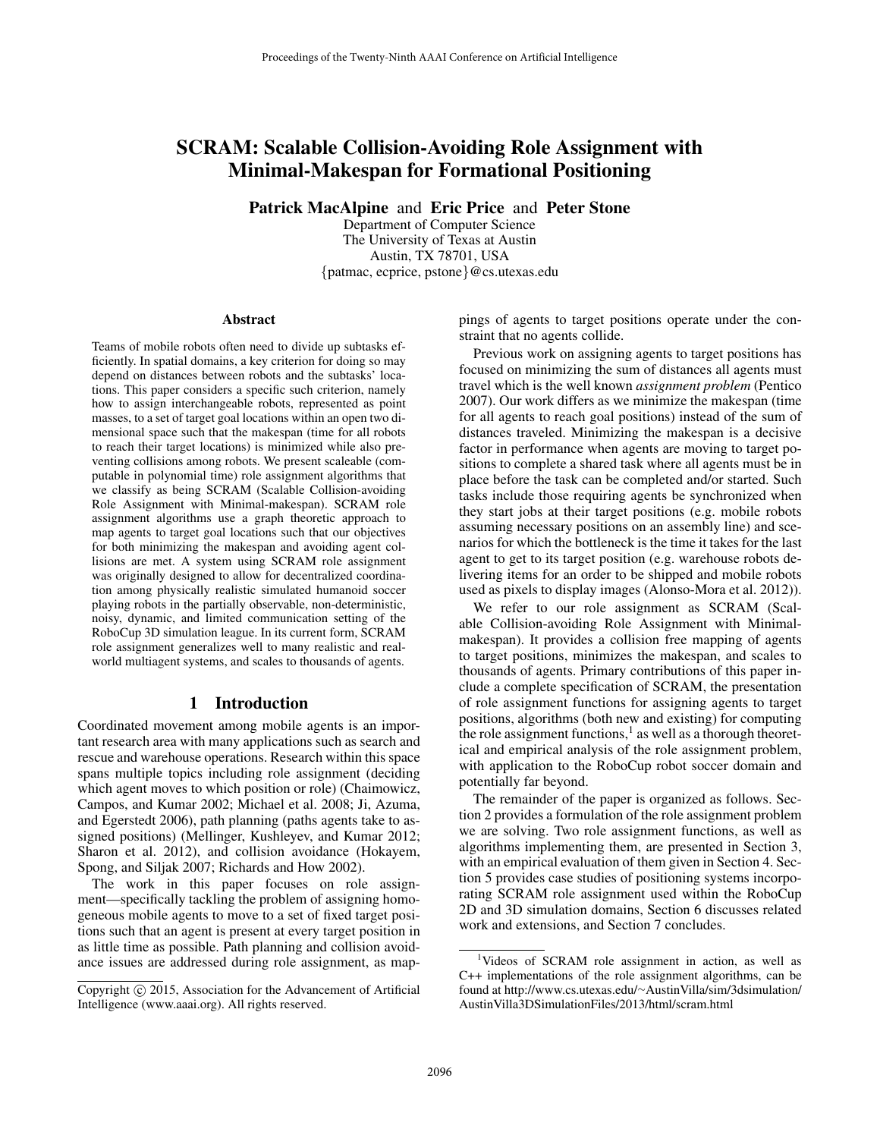# SCRAM: Scalable Collision-Avoiding Role Assignment with Minimal-Makespan for Formational Positioning

Patrick MacAlpine and Eric Price and Peter Stone

Department of Computer Science The University of Texas at Austin Austin, TX 78701, USA {patmac, ecprice, pstone}@cs.utexas.edu

#### Abstract

Teams of mobile robots often need to divide up subtasks efficiently. In spatial domains, a key criterion for doing so may depend on distances between robots and the subtasks' locations. This paper considers a specific such criterion, namely how to assign interchangeable robots, represented as point masses, to a set of target goal locations within an open two dimensional space such that the makespan (time for all robots to reach their target locations) is minimized while also preventing collisions among robots. We present scaleable (computable in polynomial time) role assignment algorithms that we classify as being SCRAM (Scalable Collision-avoiding Role Assignment with Minimal-makespan). SCRAM role assignment algorithms use a graph theoretic approach to map agents to target goal locations such that our objectives for both minimizing the makespan and avoiding agent collisions are met. A system using SCRAM role assignment was originally designed to allow for decentralized coordination among physically realistic simulated humanoid soccer playing robots in the partially observable, non-deterministic, noisy, dynamic, and limited communication setting of the RoboCup 3D simulation league. In its current form, SCRAM role assignment generalizes well to many realistic and realworld multiagent systems, and scales to thousands of agents.

### 1 Introduction

Coordinated movement among mobile agents is an important research area with many applications such as search and rescue and warehouse operations. Research within this space spans multiple topics including role assignment (deciding which agent moves to which position or role) (Chaimowicz, Campos, and Kumar 2002; Michael et al. 2008; Ji, Azuma, and Egerstedt 2006), path planning (paths agents take to assigned positions) (Mellinger, Kushleyev, and Kumar 2012; Sharon et al. 2012), and collision avoidance (Hokayem, Spong, and Siljak 2007; Richards and How 2002).

The work in this paper focuses on role assignment—specifically tackling the problem of assigning homogeneous mobile agents to move to a set of fixed target positions such that an agent is present at every target position in as little time as possible. Path planning and collision avoidance issues are addressed during role assignment, as mappings of agents to target positions operate under the constraint that no agents collide.

Previous work on assigning agents to target positions has focused on minimizing the sum of distances all agents must travel which is the well known *assignment problem* (Pentico 2007). Our work differs as we minimize the makespan (time for all agents to reach goal positions) instead of the sum of distances traveled. Minimizing the makespan is a decisive factor in performance when agents are moving to target positions to complete a shared task where all agents must be in place before the task can be completed and/or started. Such tasks include those requiring agents be synchronized when they start jobs at their target positions (e.g. mobile robots assuming necessary positions on an assembly line) and scenarios for which the bottleneck is the time it takes for the last agent to get to its target position (e.g. warehouse robots delivering items for an order to be shipped and mobile robots used as pixels to display images (Alonso-Mora et al. 2012)).

We refer to our role assignment as SCRAM (Scalable Collision-avoiding Role Assignment with Minimalmakespan). It provides a collision free mapping of agents to target positions, minimizes the makespan, and scales to thousands of agents. Primary contributions of this paper include a complete specification of SCRAM, the presentation of role assignment functions for assigning agents to target positions, algorithms (both new and existing) for computing the role assignment functions, $<sup>1</sup>$  as well as a thorough theoret-</sup> ical and empirical analysis of the role assignment problem, with application to the RoboCup robot soccer domain and potentially far beyond.

The remainder of the paper is organized as follows. Section 2 provides a formulation of the role assignment problem we are solving. Two role assignment functions, as well as algorithms implementing them, are presented in Section 3, with an empirical evaluation of them given in Section 4. Section 5 provides case studies of positioning systems incorporating SCRAM role assignment used within the RoboCup 2D and 3D simulation domains, Section 6 discusses related work and extensions, and Section 7 concludes.

Copyright © 2015, Association for the Advancement of Artificial Intelligence (www.aaai.org). All rights reserved.

<sup>&</sup>lt;sup>1</sup>Videos of SCRAM role assignment in action, as well as C++ implementations of the role assignment algorithms, can be found at http://www.cs.utexas.edu/∼AustinVilla/sim/3dsimulation/ AustinVilla3DSimulationFiles/2013/html/scram.html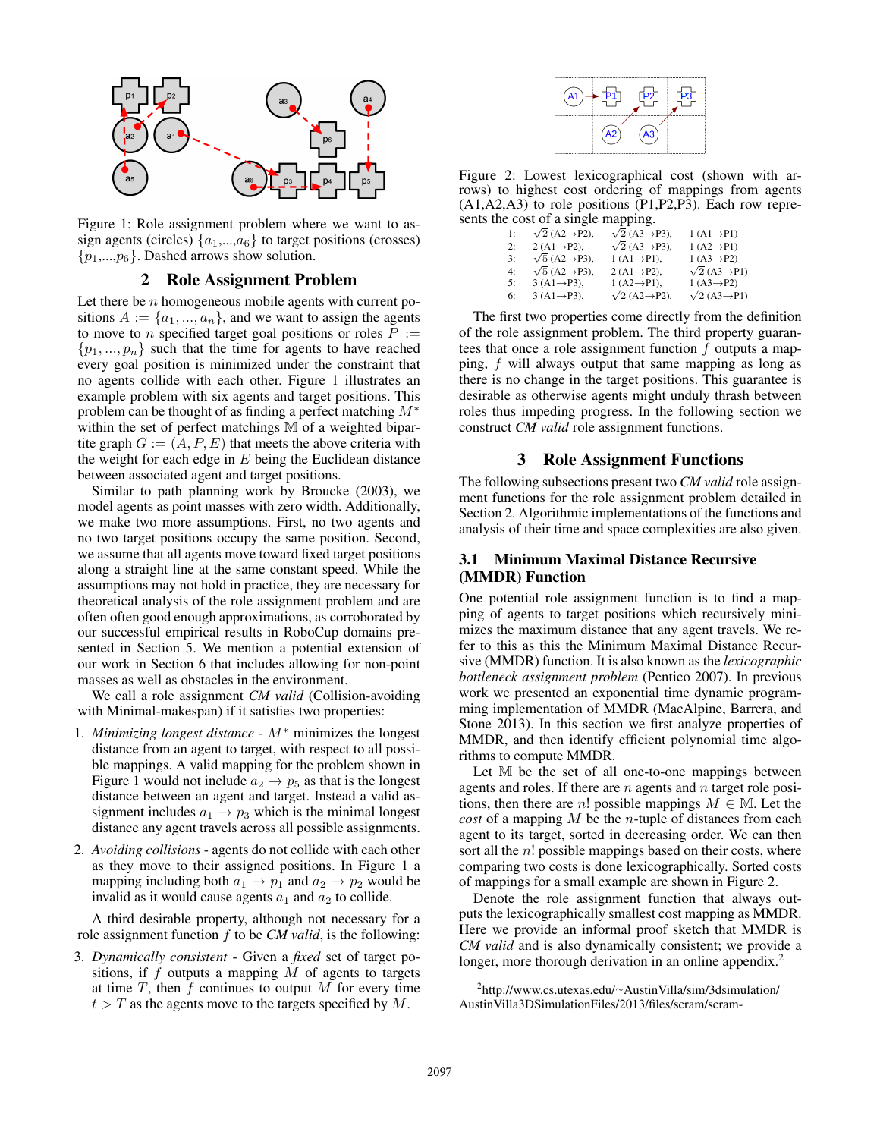

Figure 1: Role assignment problem where we want to assign agents (circles)  $\{a_1,...,a_6\}$  to target positions (crosses)  $\{p_1,...,p_6\}$ . Dashed arrows show solution.

### 2 Role Assignment Problem

Let there be  $n$  homogeneous mobile agents with current positions  $A := \{a_1, ..., a_n\}$ , and we want to assign the agents to move to *n* specified target goal positions or roles  $P :=$  $\{p_1, ..., p_n\}$  such that the time for agents to have reached every goal position is minimized under the constraint that no agents collide with each other. Figure 1 illustrates an example problem with six agents and target positions. This problem can be thought of as finding a perfect matching  $M^*$ within the set of perfect matchings M of a weighted bipartite graph  $G := (A, P, E)$  that meets the above criteria with the weight for each edge in  $E$  being the Euclidean distance between associated agent and target positions.

Similar to path planning work by Broucke (2003), we model agents as point masses with zero width. Additionally, we make two more assumptions. First, no two agents and no two target positions occupy the same position. Second, we assume that all agents move toward fixed target positions along a straight line at the same constant speed. While the assumptions may not hold in practice, they are necessary for theoretical analysis of the role assignment problem and are often often good enough approximations, as corroborated by our successful empirical results in RoboCup domains presented in Section 5. We mention a potential extension of our work in Section 6 that includes allowing for non-point masses as well as obstacles in the environment.

We call a role assignment *CM valid* (Collision-avoiding with Minimal-makespan) if it satisfies two properties:

- 1. *Minimizing longest distance* M<sup>∗</sup> minimizes the longest distance from an agent to target, with respect to all possible mappings. A valid mapping for the problem shown in Figure 1 would not include  $a_2 \rightarrow p_5$  as that is the longest distance between an agent and target. Instead a valid assignment includes  $a_1 \rightarrow p_3$  which is the minimal longest distance any agent travels across all possible assignments.
- 2. *Avoiding collisions* agents do not collide with each other as they move to their assigned positions. In Figure 1 a mapping including both  $a_1 \rightarrow p_1$  and  $a_2 \rightarrow p_2$  would be invalid as it would cause agents  $a_1$  and  $a_2$  to collide.

A third desirable property, although not necessary for a role assignment function f to be *CM valid*, is the following:

3. *Dynamically consistent* - Given a *fixed* set of target positions, if  $f$  outputs a mapping  $M$  of agents to targets at time  $T$ , then  $f$  continues to output  $M$  for every time  $t > T$  as the agents move to the targets specified by M.



Figure 2: Lowest lexicographical cost (shown with arrows) to highest cost ordering of mappings from agents  $(A1, A2, A3)$  to role positions  $(P1, P2, P3)$ . Each row represents the cost of a single mapping.<br>
1:  $\sqrt{2} (A2 \rightarrow P2)$ ,  $\sqrt{2} (A3 \rightarrow$ 

| 1: | $\sqrt{2}$ (A2 $\rightarrow$ P2), | $\sqrt{2}$ (A3 $\rightarrow$ P3), | $1 (A1 \rightarrow P1)$          |
|----|-----------------------------------|-----------------------------------|----------------------------------|
| 2: | 2 $(A1 \rightarrow P2)$ ,         | $\sqrt{2}$ (A3 $\rightarrow$ P3). | $1 (A2 \rightarrow P1)$          |
| 3: | $\sqrt{5}$ (A2 $\rightarrow$ P3), | $1(A1 \rightarrow P1)$ ,          | $1 (A3 \rightarrow P2)$          |
| 4: | $\sqrt{5}$ (A2 $\rightarrow$ P3). | $2(A1 \rightarrow P2)$ .          | $\sqrt{2}$ (A3 $\rightarrow$ P1) |
| 5: | $3(A1 \rightarrow P3)$ ,          | $1(A2 \rightarrow P1)$ ,          | $1(A3 \rightarrow P2)$           |
| 6: | $3(A1 \rightarrow P3)$ ,          | $\sqrt{2}$ (A2 $\rightarrow$ P2). | $\sqrt{2}$ (A3 $\rightarrow$ P1) |
|    |                                   |                                   |                                  |

The first two properties come directly from the definition of the role assignment problem. The third property guarantees that once a role assignment function  $f$  outputs a mapping, f will always output that same mapping as long as there is no change in the target positions. This guarantee is desirable as otherwise agents might unduly thrash between roles thus impeding progress. In the following section we construct *CM valid* role assignment functions.

### 3 Role Assignment Functions

The following subsections present two *CM valid* role assignment functions for the role assignment problem detailed in Section 2. Algorithmic implementations of the functions and analysis of their time and space complexities are also given.

### 3.1 Minimum Maximal Distance Recursive (MMDR) Function

One potential role assignment function is to find a mapping of agents to target positions which recursively minimizes the maximum distance that any agent travels. We refer to this as this the Minimum Maximal Distance Recursive (MMDR) function. It is also known as the *lexicographic bottleneck assignment problem* (Pentico 2007). In previous work we presented an exponential time dynamic programming implementation of MMDR (MacAlpine, Barrera, and Stone 2013). In this section we first analyze properties of MMDR, and then identify efficient polynomial time algorithms to compute MMDR.

Let M be the set of all one-to-one mappings between agents and roles. If there are  $n$  agents and  $n$  target role positions, then there are n! possible mappings  $M \in \mathbb{M}$ . Let the *cost* of a mapping M be the n-tuple of distances from each agent to its target, sorted in decreasing order. We can then sort all the  $n!$  possible mappings based on their costs, where comparing two costs is done lexicographically. Sorted costs of mappings for a small example are shown in Figure 2.

Denote the role assignment function that always outputs the lexicographically smallest cost mapping as MMDR. Here we provide an informal proof sketch that MMDR is *CM valid* and is also dynamically consistent; we provide a longer, more thorough derivation in an online appendix.<sup>2</sup>

<sup>2</sup> http://www.cs.utexas.edu/∼AustinVilla/sim/3dsimulation/ AustinVilla3DSimulationFiles/2013/files/scram/scram-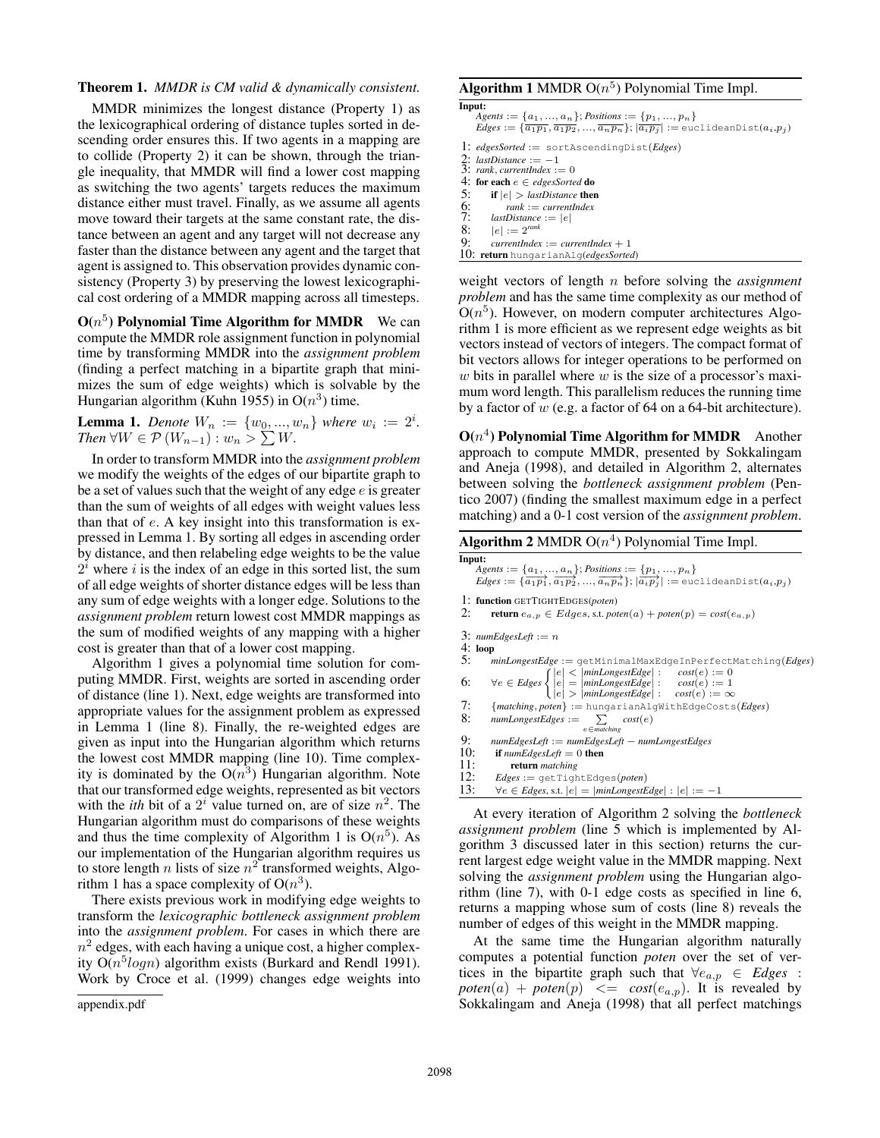### Theorem 1. *MMDR is CM valid & dynamically consistent.*

MMDR minimizes the longest distance (Property 1) as the lexicographical ordering of distance tuples sorted in descending order ensures this. If two agents in a mapping are to collide (Property 2) it can be shown, through the triangle inequality, that MMDR will find a lower cost mapping as switching the two agents' targets reduces the maximum distance either must travel. Finally, as we assume all agents move toward their targets at the same constant rate, the distance between an agent and any target will not decrease any faster than the distance between any agent and the target that agent is assigned to. This observation provides dynamic consistency (Property 3) by preserving the lowest lexicographical cost ordering of a MMDR mapping across all timesteps.

 $O(n^5)$  Polynomial Time Algorithm for MMDR We can compute the MMDR role assignment function in polynomial time by transforming MMDR into the *assignment problem* (finding a perfect matching in a bipartite graph that minimizes the sum of edge weights) which is solvable by the Hungarian algorithm (Kuhn 1955) in  $O(n^3)$  time.

**Lemma 1.** Denote  $W_n := \{w_0, ..., w_n\}$  where  $w_i := 2^i$ . *Then*  $\forall W \in \mathcal{P}(W_{n-1}): w_n > \sum W$ .

In order to transform MMDR into the *assignment problem* we modify the weights of the edges of our bipartite graph to be a set of values such that the weight of any edge  $e$  is greater than the sum of weights of all edges with weight values less than that of e. A key insight into this transformation is expressed in Lemma 1. By sorting all edges in ascending order by distance, and then relabeling edge weights to be the value  $2^{i}$  where i is the index of an edge in this sorted list, the sum of all edge weights of shorter distance edges will be less than any sum of edge weights with a longer edge. Solutions to the *assignment problem* return lowest cost MMDR mappings as the sum of modified weights of any mapping with a higher cost is greater than that of a lower cost mapping.

Algorithm 1 gives a polynomial time solution for computing MMDR. First, weights are sorted in ascending order of distance (line 1). Next, edge weights are transformed into appropriate values for the assignment problem as expressed in Lemma 1 (line 8). Finally, the re-weighted edges are given as input into the Hungarian algorithm which returns the lowest cost MMDR mapping (line 10). Time complexity is dominated by the  $O(n^3)$  Hungarian algorithm. Note that our transformed edge weights, represented as bit vectors with the *ith* bit of a  $2^i$  value turned on, are of size  $n^2$ . The Hungarian algorithm must do comparisons of these weights and thus the time complexity of Algorithm 1 is  $O(n^5)$ . As our implementation of the Hungarian algorithm requires us to store length *n* lists of size  $n^2$  transformed weights, Algorithm 1 has a space complexity of  $O(n^3)$ .

There exists previous work in modifying edge weights to transform the *lexicographic bottleneck assignment problem* into the *assignment problem*. For cases in which there are  $n^2$  edges, with each having a unique cost, a higher complexity  $O(n^5 log n)$  algorithm exists (Burkard and Rendl 1991). Work by Croce et al. (1999) changes edge weights into

```
appendix.pdf
```
### Algorithm 1 MMDR  $O(n^5)$  Polynomial Time Impl.

- Input:  $Agents := \{a_1, ..., a_n\}$ ; *Positions* :=  $\{p_1, ..., p_n\}$  $Edges := {\overline{a_1p_1}, \overline{a_1p_2}, ..., \overline{a_np_n}}; |\overline{a_ip_j}| := \text{euclideanDist}(a_i, p_j)$
- 1: *edgesSorted* := sortAscendingDist(*Edges*)
- 2: *lastDistance* := −1 3: *rank*, *currentIndex* := 0
- 
- 4: for each  $e \in edgesSorted$  do<br>5: if  $|e| > lastDistance$  then if  $|e| >$  *lastDistance* then
- 6: *rank* := *currentIndex*
- 7: *lastDistance* :=  $|e|$ <br>8:  $|e|$  :=  $2^{rank}$
- 8:  $|e| := 2^{rank}$ <br>9: *currentlndex*
- $currentIndex := currentIndex + 1$
- 10: return hungarianAlg(*edgesSorted*)

weight vectors of length n before solving the *assignment problem* and has the same time complexity as our method of  $O(n^5)$ . However, on modern computer architectures Algorithm 1 is more efficient as we represent edge weights as bit vectors instead of vectors of integers. The compact format of bit vectors allows for integer operations to be performed on w bits in parallel where  $w$  is the size of a processor's maximum word length. This parallelism reduces the running time by a factor of w (e.g. a factor of 64 on a 64-bit architecture).

 $O(n^4)$  Polynomial Time Algorithm for MMDR Another approach to compute MMDR, presented by Sokkalingam and Aneja (1998), and detailed in Algorithm 2, alternates between solving the *bottleneck assignment problem* (Pentico 2007) (finding the smallest maximum edge in a perfect matching) and a 0-1 cost version of the *assignment problem*.

| <b>Algorithm 2</b> MMDR $O(n^4)$ Polynomial Time Impl. |  |  |  |
|--------------------------------------------------------|--|--|--|
|--------------------------------------------------------|--|--|--|

| Input: | Agents := $\{a_1, , a_n\}$ ; Positions := $\{p_1, , p_n\}$<br>Edges := $\{\overline{a_1p_1}, \overline{a_1p_2}, , \overline{a_np_n}\}$ ; $ \overline{a_ip_j} $ := euclideanDist $(a_i,p_j)$ |
|--------|---------------------------------------------------------------------------------------------------------------------------------------------------------------------------------------------|
| 2:     | 1: function GETTIGHTEDGES(poten)<br><b>return</b> $e_{a,p} \in Edges$ , s.t. poten $(a) + poten(p) = cost(e_{a,p})$                                                                         |
|        | 3: $numEdgesLeft := n$                                                                                                                                                                      |
|        | 4:loop                                                                                                                                                                                      |
| 5:     | $minLongestEdge := getMinimalMaxEdgeInPerfectMatching(Edges)$                                                                                                                               |
| 6:     | $\forall e \in Edges\begin{cases}  e  <  minLongestEdge  : & cost(e) := 0 \\  e  =  minLongestEdge  : & cost(e) := 1 \\  e  >  minLongestEdge  : & cost(e) := \infty \end{cases}$           |
| 7:     | ${matching, poten} := \text{hungarianAlgWithEdgeCosts}(Edges)$                                                                                                                              |
| 8:     | $numLongestEdges := \sum cost(e)$                                                                                                                                                           |
|        | $e \in$ matching                                                                                                                                                                            |
| 9:     | $numEdgesLeft := numEdgesLeft - numLongestEdges$                                                                                                                                            |
| 10:    | <b>if</b> numEdgesLeft $= 0$ then                                                                                                                                                           |
| 11:    | return matching                                                                                                                                                                             |
| 12:    | $Edges := getTightEdges(poten)$                                                                                                                                                             |
| 13:    | $\forall e \in Edges$ , s.t. $ e  =  minLongestEdge  :  e  := -1$                                                                                                                           |

At every iteration of Algorithm 2 solving the *bottleneck assignment problem* (line 5 which is implemented by Algorithm 3 discussed later in this section) returns the current largest edge weight value in the MMDR mapping. Next solving the *assignment problem* using the Hungarian algorithm (line 7), with 0-1 edge costs as specified in line 6, returns a mapping whose sum of costs (line 8) reveals the number of edges of this weight in the MMDR mapping.

At the same time the Hungarian algorithm naturally computes a potential function *poten* over the set of vertices in the bipartite graph such that  $\forall e_{a,p} \in Edges$ :  $poten(a) + poten(p) \leq cost(e_{a,p})$ . It is revealed by Sokkalingam and Aneja (1998) that all perfect matchings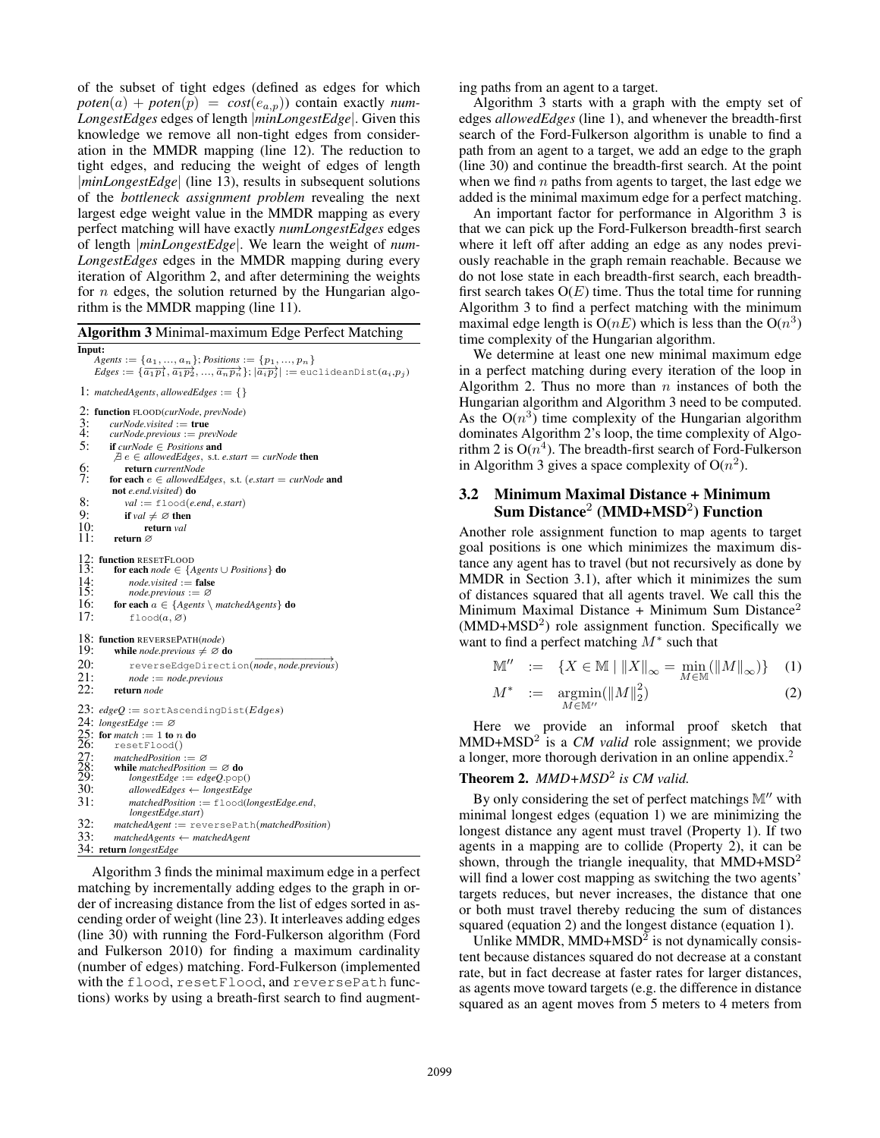of the subset of tight edges (defined as edges for which  $poten(a) + poten(p) = cost(e_{a,p})$  contain exactly *num*-*LongestEdges* edges of length |*minLongestEdge*|. Given this knowledge we remove all non-tight edges from consideration in the MMDR mapping (line 12). The reduction to tight edges, and reducing the weight of edges of length |*minLongestEdge*| (line 13), results in subsequent solutions of the *bottleneck assignment problem* revealing the next largest edge weight value in the MMDR mapping as every perfect matching will have exactly *numLongestEdges* edges of length |*minLongestEdge*|. We learn the weight of *num-LongestEdges* edges in the MMDR mapping during every iteration of Algorithm 2, and after determining the weights for  $n$  edges, the solution returned by the Hungarian algorithm is the MMDR mapping (line 11).

Algorithm 3 Minimal-maximum Edge Perfect Matching Input:  $Agents := \{a_1, ..., a_n\}$ ; *Positions* :=  $\{p_1, ..., p_n\}$ 

 $Edges := {\overrightarrow{(a_1p_1}, \overrightarrow{a_1p_2}, ..., \overrightarrow{a_np_n}}; |\overrightarrow{a_ip_j}| := \text{euclideanDist}(a_i, p_j)$ 1:  $matchedAgents, allowedEdges := \{\}$ 

2: **function** FLOOD(*curNode*, *prevNode*)<br>3: *curNode*.visited := **true**<br>4: *curNode.previous* := *prevNode* 3: *curNode.visited* := true 4: *curNode.previous* := *prevNode* 5: if *curNode* ∈ *Positions* and  $\exists e \in allowedEdges$ , s.t. *e.start* = *curNode* then 6: **return** *currentNode*<br>7: **for each**  $e \in allowedE$ for each  $e \in allowedEdges$ , s.t. (*e.start* = *curNode* and not *e.end.visited*) do

8: 
$$
val := \text{flood}(e.end, e.start)
$$

9: **if**  $val \neq \emptyset$  then<br>10: **return** val 10: return *val*<br>11: return  $\varnothing$ 

return ∅

12: function RESETFLOOD<br>13: for each *node*  $\in$  {A

```
13: for each node ∈ {Agents ∪ Positions} do<br>14: node.visited := false<br>15: node.previous := ∅
```

```
node.visited := false
```
15: *node.previous* := ∅<br>16: **for each**  $a \in \{A$ *gents* for each  $a \in \{ Agents \setminus matched Agents\}$  do

17:  $\text{flood}(a, \emptyset)$ 

18: **function** REVERSEPATH(*node*)<br>19: while *node* previous  $\neq \emptyset$  **c** 

```
while node.previous \neq \emptyset do
```

```
20: mmt macepoids, 20<br>20: reverseEdgeDirection(node, node.previous)
```

```
21: node := node.previous<br>22: return node
          22: return node
```

```
23: edgeQ := sortAscendingDist(Edges)
24: longestEdge := ∅
25: for match := 1 to n do<br>26: resetFlood()
\overline{26:} resetFlood()<br>27. matchedPosition
27: matchedPosition := ∅<br>28: while matchedPosition<br>29: longestEdge := edg
           while \textit{matchedPosition} = \emptyset \textbf{ do}\overline{29}: longestEdge := edgeQ.pop()<br>30: allowedEdges \leftarrow longestEdge
30: allowedEdges ← longestEdge
                31: matchedPosition := flood(longestEdge.end,
                longestEdge.start)
32: matchedAgent := reversePath(matchedPosition)
           33: matchedAgents ← matchedAgent
```

```
34: return longestEdge
```
Algorithm 3 finds the minimal maximum edge in a perfect matching by incrementally adding edges to the graph in order of increasing distance from the list of edges sorted in ascending order of weight (line 23). It interleaves adding edges (line 30) with running the Ford-Fulkerson algorithm (Ford and Fulkerson 2010) for finding a maximum cardinality (number of edges) matching. Ford-Fulkerson (implemented with the flood, resetFlood, and reversePath functions) works by using a breath-first search to find augmenting paths from an agent to a target.

Algorithm 3 starts with a graph with the empty set of edges *allowedEdges* (line 1), and whenever the breadth-first search of the Ford-Fulkerson algorithm is unable to find a path from an agent to a target, we add an edge to the graph (line 30) and continue the breadth-first search. At the point when we find  $n$  paths from agents to target, the last edge we added is the minimal maximum edge for a perfect matching.

An important factor for performance in Algorithm 3 is that we can pick up the Ford-Fulkerson breadth-first search where it left off after adding an edge as any nodes previously reachable in the graph remain reachable. Because we do not lose state in each breadth-first search, each breadthfirst search takes  $O(E)$  time. Thus the total time for running Algorithm 3 to find a perfect matching with the minimum maximal edge length is  $O(nE)$  which is less than the  $O(n^3)$ time complexity of the Hungarian algorithm.

We determine at least one new minimal maximum edge in a perfect matching during every iteration of the loop in Algorithm 2. Thus no more than  $n$  instances of both the Hungarian algorithm and Algorithm 3 need to be computed. As the  $O(n^3)$  time complexity of the Hungarian algorithm dominates Algorithm 2's loop, the time complexity of Algorithm 2 is  $O(n^4)$ . The breadth-first search of Ford-Fulkerson in Algorithm 3 gives a space complexity of  $O(n^2)$ .

# 3.2 Minimum Maximal Distance + Minimum Sum Distance $^2$  (MMD+MSD<sup>2</sup>) Function

Another role assignment function to map agents to target goal positions is one which minimizes the maximum distance any agent has to travel (but not recursively as done by MMDR in Section 3.1), after which it minimizes the sum of distances squared that all agents travel. We call this the Minimum Maximal Distance + Minimum Sum Distance<sup>2</sup>  $(MMD+MSD<sup>2</sup>)$  role assignment function. Specifically we want to find a perfect matching  $M^*$  such that

$$
\mathbb{M}'' \ := \ \{ X \in \mathbb{M} \mid \| X \|_{\infty} = \min_{M \in \mathbb{M}} (\| M \|_{\infty}) \} \tag{1}
$$

$$
M^* := \underset{M \in \mathbb{M}''}{\text{argmin}} (\|M\|_2^2) \tag{2}
$$

Here we provide an informal proof sketch that MMD+MSD<sup>2</sup> is a *CM valid* role assignment; we provide a longer, more thorough derivation in an online appendix.<sup>2</sup>

## Theorem 2. *MMD+MSD*<sup>2</sup> *is CM valid.*

By only considering the set of perfect matchings  $M''$  with minimal longest edges (equation 1) we are minimizing the longest distance any agent must travel (Property 1). If two agents in a mapping are to collide (Property 2), it can be shown, through the triangle inequality, that  $MMD+MSD<sup>2</sup>$ will find a lower cost mapping as switching the two agents' targets reduces, but never increases, the distance that one or both must travel thereby reducing the sum of distances squared (equation 2) and the longest distance (equation 1).

Unlike MMDR, MMD+MSD $^2$  is not dynamically consistent because distances squared do not decrease at a constant rate, but in fact decrease at faster rates for larger distances, as agents move toward targets (e.g. the difference in distance squared as an agent moves from 5 meters to 4 meters from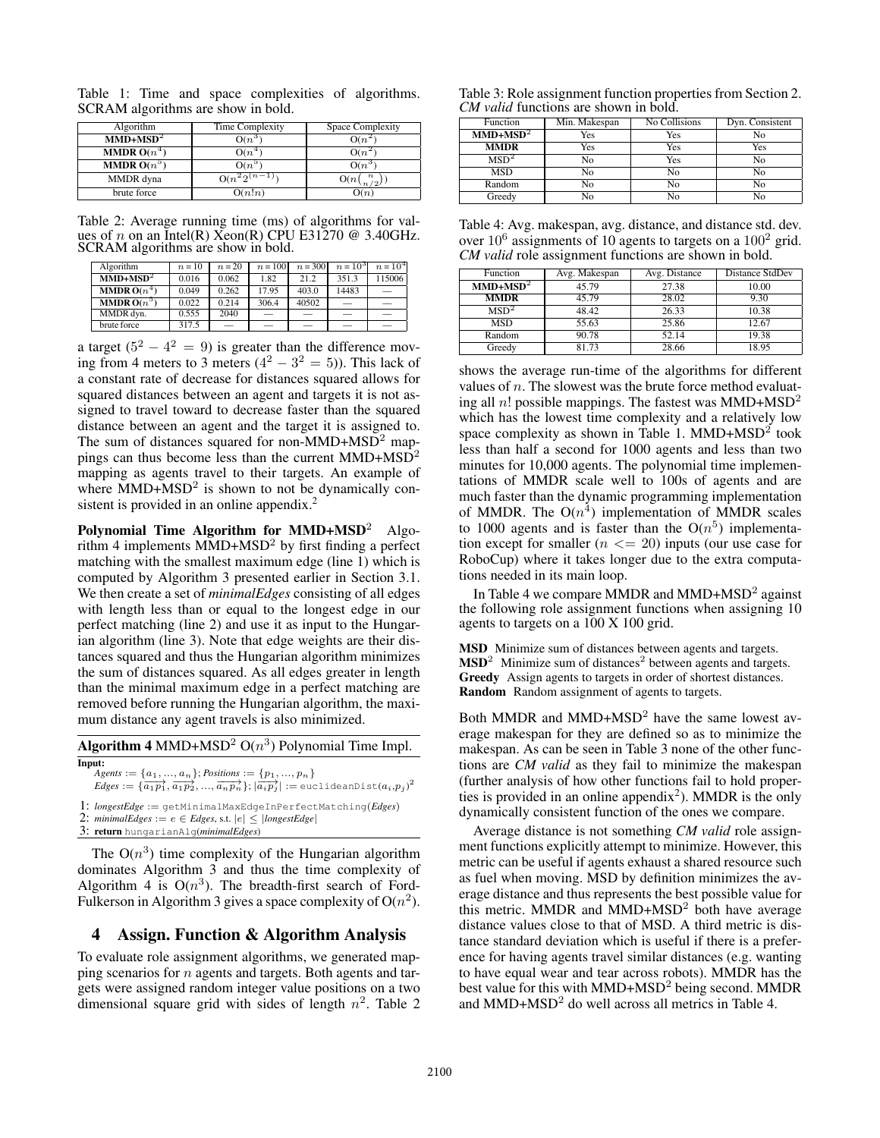Table 1: Time and space complexities of algorithms. SCRAM algorithms are show in bold.

| Algorithm            | <b>Time Complexity</b> | Space Complexity    |
|----------------------|------------------------|---------------------|
| $MMD+MSD2$           | $O(n^3)$               | $O(n^2)$            |
| <b>MMDR</b> $O(n^4)$ | $O(n^{4})$             | $O(n^2)$            |
| <b>MMDR</b> $O(n^5)$ | $O(n^5)$               | $O(n^3)$            |
| MMDR dyna            | $O(n^2 2^{(n-1)})$     | $O(n\binom{n}{n/2}$ |
| brute force          | O(n!n)                 | O(n)                |

Table 2: Average running time (ms) of algorithms for values of n on an Intel(R)  $Xeon(R)$  CPU E31270 @ 3.40GHz. SCRAM algorithms are show in bold.

| Algorithm            | $n=10$ | $n = 20$                 | $n = 100$ | $n = 3001$ | $n = 103$ | $n = 10^4$ |
|----------------------|--------|--------------------------|-----------|------------|-----------|------------|
| $MMD+MSD2$           | 0.016  | 0.062                    | 1.82      | 21.2       | 351.3     | 115006     |
| <b>MMDR</b> $O(n^4)$ | 0.049  | 0.262                    | 17.95     | 403.0      | 14483     |            |
| <b>MMDR</b> $O(n^5)$ | 0.022  | 0.214                    | 306.4     | 40502      |           |            |
| MMDR dvn.            | 0.555  | 2040                     |           |            |           |            |
| brute force          | 317.5  | $\overline{\phantom{0}}$ | -         |            |           | -          |

a target  $(5^2 - 4^2 = 9)$  is greater than the difference moving from 4 meters to 3 meters  $(4^2 - 3^2 = 5)$ ). This lack of a constant rate of decrease for distances squared allows for squared distances between an agent and targets it is not assigned to travel toward to decrease faster than the squared distance between an agent and the target it is assigned to. The sum of distances squared for non-MMD+MSD<sup>2</sup> mappings can thus become less than the current  $MMD+MSD<sup>2</sup>$ mapping as agents travel to their targets. An example of where  $MMD+MSD<sup>2</sup>$  is shown to not be dynamically consistent is provided in an online appendix.<sup>2</sup>

Polynomial Time Algorithm for  $MMD+MSD<sup>2</sup>$  Algorithm 4 implements  $MMD+MSD<sup>2</sup>$  by first finding a perfect matching with the smallest maximum edge (line 1) which is computed by Algorithm 3 presented earlier in Section 3.1. We then create a set of *minimalEdges* consisting of all edges with length less than or equal to the longest edge in our perfect matching (line 2) and use it as input to the Hungarian algorithm (line 3). Note that edge weights are their distances squared and thus the Hungarian algorithm minimizes the sum of distances squared. As all edges greater in length than the minimal maximum edge in a perfect matching are removed before running the Hungarian algorithm, the maximum distance any agent travels is also minimized.

| <b>Algorithm 4</b> MMD+MSD <sup>2</sup> $O(n^3)$ Polynomial Time Impl. |  |
|------------------------------------------------------------------------|--|
| Input:                                                                 |  |
| Agents := { $a_1, , a_n$ }; Positions := { $p_1, , p_n$ }              |  |

 $Edges := {\overrightarrow{(a_1p_1}, \overrightarrow{a_1p_2}, ..., \overrightarrow{a_np_n}}; \overrightarrow{|a_ip_j|} := \text{euclideanDist}(a_i, p_j)^2$ 

1: *longestEdge* := getMinimalMaxEdgeInPerfectMatching(*Edges*)

- 2:  $minimalEdges := e \in Edges$ , s.t.  $|e| \leq |longestEdge|$
- 3: return hungarianAlg(*minimalEdges*)

The  $O(n^3)$  time complexity of the Hungarian algorithm dominates Algorithm 3 and thus the time complexity of Algorithm 4 is  $O(n^3)$ . The breadth-first search of Ford-Fulkerson in Algorithm 3 gives a space complexity of  $O(n^2)$ .

## 4 Assign. Function & Algorithm Analysis

To evaluate role assignment algorithms, we generated mapping scenarios for  $n$  agents and targets. Both agents and targets were assigned random integer value positions on a two dimensional square grid with sides of length  $n^2$ . Table 2

Table 3: Role assignment function properties from Section 2. *CM valid* functions are shown in bold.

| Function         | Min. Makespan | <b>No Collisions</b> | Dyn. Consistent |
|------------------|---------------|----------------------|-----------------|
| $MMD+MSD2$       | Yes           | Yes                  | No              |
| <b>MMDR</b>      | Yes           | Yes                  | Yes             |
| MSD <sup>2</sup> | No            | Yes                  | No              |
| <b>MSD</b>       | No            | No                   | N <sub>0</sub>  |
| Random           | No            | N <sub>0</sub>       | N <sub>0</sub>  |
| Greedy           | No            | No                   | No              |

Table 4: Avg. makespan, avg. distance, and distance std. dev. over  $10^6$  assignments of 10 agents to targets on a  $100^2$  grid. *CM valid* role assignment functions are shown in bold.

| Function         | Avg. Makespan | Avg. Distance | Distance StdDev |
|------------------|---------------|---------------|-----------------|
| $MMD+MSD2$       | 45.79         | 27.38         | 10.00           |
| <b>MMDR</b>      | 45.79         | 28.02         | 9.30            |
| MSD <sup>2</sup> | 48.42         | 26.33         | 10.38           |
| <b>MSD</b>       | 55.63         | 25.86         | 12.67           |
| Random           | 90.78         | 52.14         | 19.38           |
| Greedy           | 81.73         | 28.66         | 18.95           |

shows the average run-time of the algorithms for different values of  $n$ . The slowest was the brute force method evaluating all n! possible mappings. The fastest was  $MMD+MSD<sup>2</sup>$ which has the lowest time complexity and a relatively low space complexity as shown in Table 1. MMD+MSD<sup>2</sup> took less than half a second for 1000 agents and less than two minutes for 10,000 agents. The polynomial time implementations of MMDR scale well to 100s of agents and are much faster than the dynamic programming implementation of MMDR. The  $O(n^4)$  implementation of MMDR scales to 1000 agents and is faster than the  $O(n^5)$  implementation except for smaller  $(n \leq 20)$  inputs (our use case for RoboCup) where it takes longer due to the extra computations needed in its main loop.

In Table 4 we compare MMDR and MMD+MSD<sup>2</sup> against the following role assignment functions when assigning 10 agents to targets on a 100 X 100 grid.

MSD Minimize sum of distances between agents and targets.  $\text{MSD}^2$  Minimize sum of distances<sup>2</sup> between agents and targets. Greedy Assign agents to targets in order of shortest distances. Random Random assignment of agents to targets.

Both MMDR and MMD+MSD<sup>2</sup> have the same lowest average makespan for they are defined so as to minimize the makespan. As can be seen in Table 3 none of the other functions are *CM valid* as they fail to minimize the makespan (further analysis of how other functions fail to hold properties is provided in an online appendix<sup>2</sup>). MMDR is the only dynamically consistent function of the ones we compare.

Average distance is not something *CM valid* role assignment functions explicitly attempt to minimize. However, this metric can be useful if agents exhaust a shared resource such as fuel when moving. MSD by definition minimizes the average distance and thus represents the best possible value for this metric. MMDR and MMD+MSD<sup>2</sup> both have average distance values close to that of MSD. A third metric is distance standard deviation which is useful if there is a preference for having agents travel similar distances (e.g. wanting to have equal wear and tear across robots). MMDR has the best value for this with MMD+MSD<sup>2</sup> being second. MMDR and MMD+MSD<sup>2</sup> do well across all metrics in Table 4.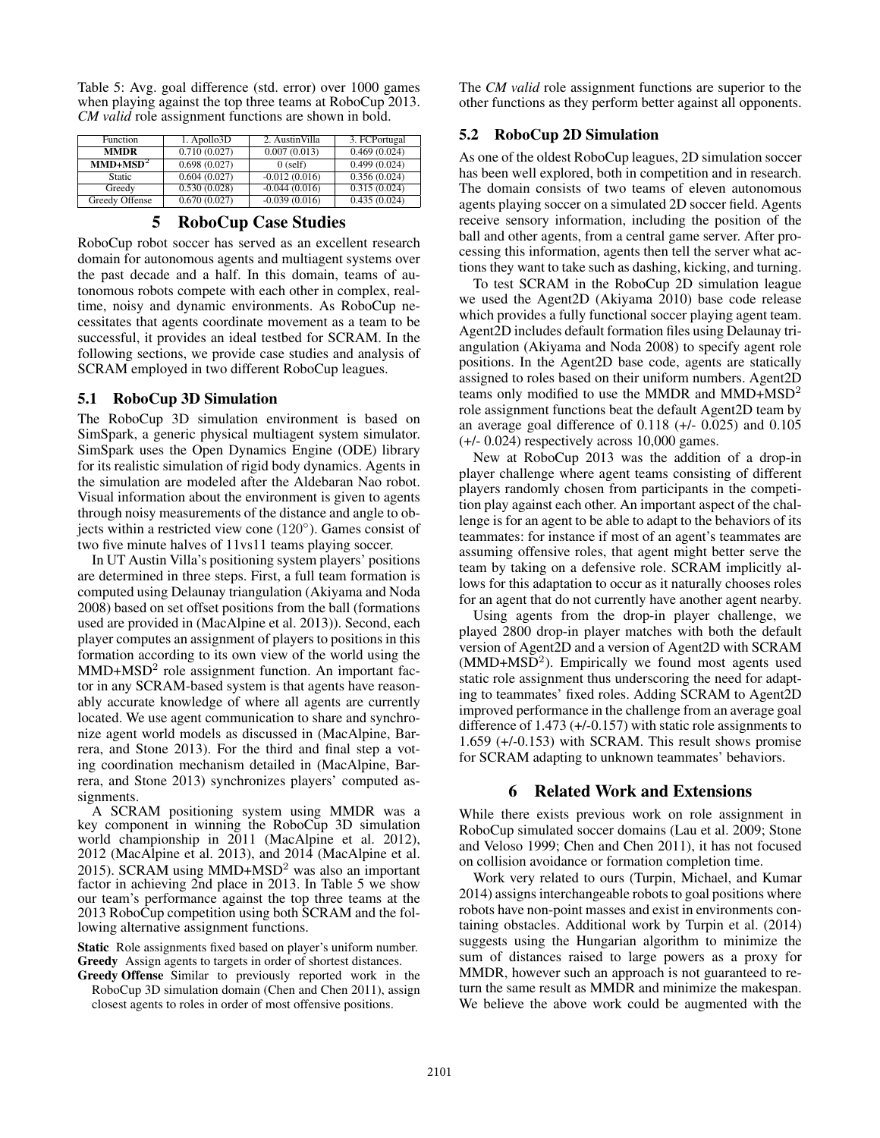Table 5: Avg. goal difference (std. error) over 1000 games when playing against the top three teams at RoboCup 2013. *CM valid* role assignment functions are shown in bold.

| Function       | $1.$ Apollo $3D$ | 2. AustinVilla  | 3. FCPortugal |
|----------------|------------------|-----------------|---------------|
| <b>MMDR</b>    | 0.710(0.027)     | 0.007(0.013)    | 0.469(0.024)  |
| $MMD+MSD2$     | 0.698(0.027)     | $0$ (self)      | 0.499(0.024)  |
| Static         | 0.604(0.027)     | $-0.012(0.016)$ | 0.356(0.024)  |
| Greedy         | 0.530(0.028)     | $-0.044(0.016)$ | 0.315(0.024)  |
| Greedy Offense | 0.670(0.027)     | $-0.039(0.016)$ | 0.435(0.024)  |

### 5 RoboCup Case Studies

RoboCup robot soccer has served as an excellent research domain for autonomous agents and multiagent systems over the past decade and a half. In this domain, teams of autonomous robots compete with each other in complex, realtime, noisy and dynamic environments. As RoboCup necessitates that agents coordinate movement as a team to be successful, it provides an ideal testbed for SCRAM. In the following sections, we provide case studies and analysis of SCRAM employed in two different RoboCup leagues.

### 5.1 RoboCup 3D Simulation

The RoboCup 3D simulation environment is based on SimSpark, a generic physical multiagent system simulator. SimSpark uses the Open Dynamics Engine (ODE) library for its realistic simulation of rigid body dynamics. Agents in the simulation are modeled after the Aldebaran Nao robot. Visual information about the environment is given to agents through noisy measurements of the distance and angle to objects within a restricted view cone (120◦ ). Games consist of two five minute halves of 11vs11 teams playing soccer.

In UT Austin Villa's positioning system players' positions are determined in three steps. First, a full team formation is computed using Delaunay triangulation (Akiyama and Noda 2008) based on set offset positions from the ball (formations used are provided in (MacAlpine et al. 2013)). Second, each player computes an assignment of players to positions in this formation according to its own view of the world using the MMD+MSD<sup>2</sup> role assignment function. An important factor in any SCRAM-based system is that agents have reasonably accurate knowledge of where all agents are currently located. We use agent communication to share and synchronize agent world models as discussed in (MacAlpine, Barrera, and Stone 2013). For the third and final step a voting coordination mechanism detailed in (MacAlpine, Barrera, and Stone 2013) synchronizes players' computed assignments.

A SCRAM positioning system using MMDR was a key component in winning the RoboCup 3D simulation world championship in 2011 (MacAlpine et al. 2012), 2012 (MacAlpine et al. 2013), and 2014 (MacAlpine et al. 2015). SCRAM using MMD+MSD<sup>2</sup> was also an important factor in achieving 2nd place in 2013. In Table 5 we show our team's performance against the top three teams at the 2013 RoboCup competition using both SCRAM and the following alternative assignment functions.

Static Role assignments fixed based on player's uniform number. Greedy Assign agents to targets in order of shortest distances.

Greedy Offense Similar to previously reported work in the RoboCup 3D simulation domain (Chen and Chen 2011), assign closest agents to roles in order of most offensive positions.

The *CM valid* role assignment functions are superior to the other functions as they perform better against all opponents.

### 5.2 RoboCup 2D Simulation

As one of the oldest RoboCup leagues, 2D simulation soccer has been well explored, both in competition and in research. The domain consists of two teams of eleven autonomous agents playing soccer on a simulated 2D soccer field. Agents receive sensory information, including the position of the ball and other agents, from a central game server. After processing this information, agents then tell the server what actions they want to take such as dashing, kicking, and turning.

To test SCRAM in the RoboCup 2D simulation league we used the Agent2D (Akiyama 2010) base code release which provides a fully functional soccer playing agent team. Agent2D includes default formation files using Delaunay triangulation (Akiyama and Noda 2008) to specify agent role positions. In the Agent2D base code, agents are statically assigned to roles based on their uniform numbers. Agent2D teams only modified to use the MMDR and MMD+ $MSD<sup>2</sup>$ role assignment functions beat the default Agent2D team by an average goal difference of 0.118 (+/- 0.025) and 0.105 (+/- 0.024) respectively across 10,000 games.

New at RoboCup 2013 was the addition of a drop-in player challenge where agent teams consisting of different players randomly chosen from participants in the competition play against each other. An important aspect of the challenge is for an agent to be able to adapt to the behaviors of its teammates: for instance if most of an agent's teammates are assuming offensive roles, that agent might better serve the team by taking on a defensive role. SCRAM implicitly allows for this adaptation to occur as it naturally chooses roles for an agent that do not currently have another agent nearby.

Using agents from the drop-in player challenge, we played 2800 drop-in player matches with both the default version of Agent2D and a version of Agent2D with SCRAM  $(MMD+MSD<sup>2</sup>)$ . Empirically we found most agents used static role assignment thus underscoring the need for adapting to teammates' fixed roles. Adding SCRAM to Agent2D improved performance in the challenge from an average goal difference of 1.473 (+/-0.157) with static role assignments to 1.659 (+/-0.153) with SCRAM. This result shows promise for SCRAM adapting to unknown teammates' behaviors.

### 6 Related Work and Extensions

While there exists previous work on role assignment in RoboCup simulated soccer domains (Lau et al. 2009; Stone and Veloso 1999; Chen and Chen 2011), it has not focused on collision avoidance or formation completion time.

Work very related to ours (Turpin, Michael, and Kumar 2014) assigns interchangeable robots to goal positions where robots have non-point masses and exist in environments containing obstacles. Additional work by Turpin et al. (2014) suggests using the Hungarian algorithm to minimize the sum of distances raised to large powers as a proxy for MMDR, however such an approach is not guaranteed to return the same result as MMDR and minimize the makespan. We believe the above work could be augmented with the